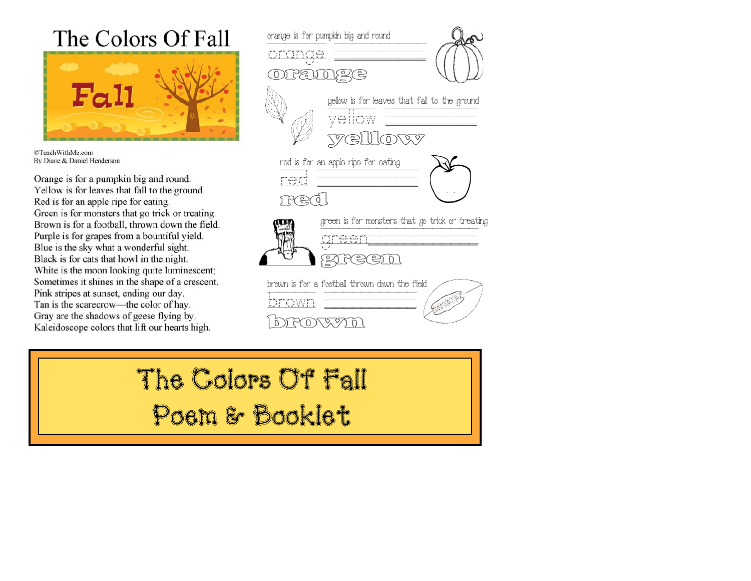## The Colors Of Fall



CTeachWithMe.com By Diane & Daniel Henderson

Orange is for a pumpkin big and round. Yellow is for leaves that fall to the ground. Red is for an apple ripe for eating. Green is for monsters that go trick or treating. Brown is for a football, thrown down the field. Purple is for grapes from a bountiful yield. Blue is the sky what a wonderful sight. Black is for cats that howl in the night. White is the moon looking quite luminescent; Sometimes it shines in the shape of a crescent. Pink stripes at sunset, ending our day. Tan is the scarecrow—the color of hay. Gray are the shadows of geese flying by. Kaleidoscope colors that lift our hearts high.

| orange is for pumpkin big and round                                                   |  |  |  |  |  |  |  |  |  |  |  |  |
|---------------------------------------------------------------------------------------|--|--|--|--|--|--|--|--|--|--|--|--|
| <u>orange</u>                                                                         |  |  |  |  |  |  |  |  |  |  |  |  |
| PZUDE<br>ಕಿ                                                                           |  |  |  |  |  |  |  |  |  |  |  |  |
| yellow is for leaves that fall to the ground<br>Veliow<br>$\sqrt{0}$<br>$\widehat{e}$ |  |  |  |  |  |  |  |  |  |  |  |  |
| red is for an apple ripe for eating<br>rec<br>ิดิ<br>ි                                |  |  |  |  |  |  |  |  |  |  |  |  |
| green is for monsters that go trick or treating<br>등등<br>$\mathbf{r}$<br>ಳು           |  |  |  |  |  |  |  |  |  |  |  |  |
| brown is for a football thrown down the field<br>) POWN                               |  |  |  |  |  |  |  |  |  |  |  |  |

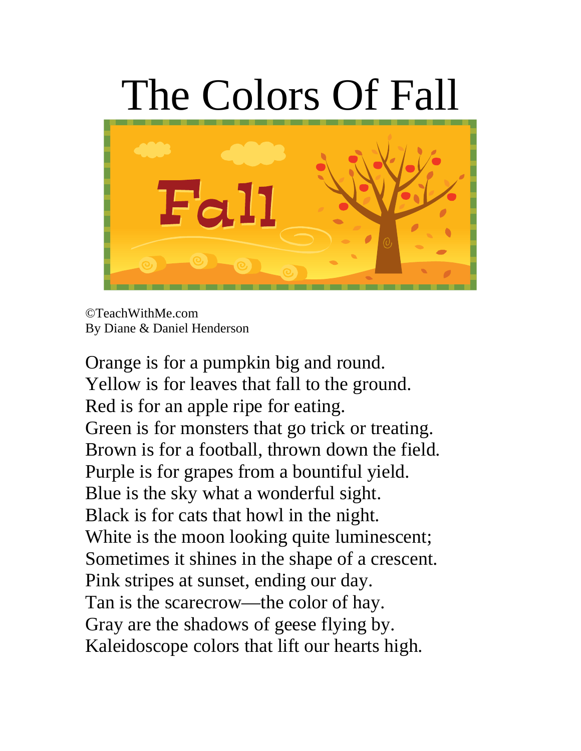## The Colors Of Fall



©TeachWithMe.com By Diane & Daniel Henderson

Orange is for a pumpkin big and round. Yellow is for leaves that fall to the ground. Red is for an apple ripe for eating. Green is for monsters that go trick or treating. Brown is for a football, thrown down the field. Purple is for grapes from a bountiful yield. Blue is the sky what a wonderful sight. Black is for cats that howl in the night. White is the moon looking quite luminescent; Sometimes it shines in the shape of a crescent. Pink stripes at sunset, ending our day. Tan is the scarecrow—the color of hay. Gray are the shadows of geese flying by. Kaleidoscope colors that lift our hearts high.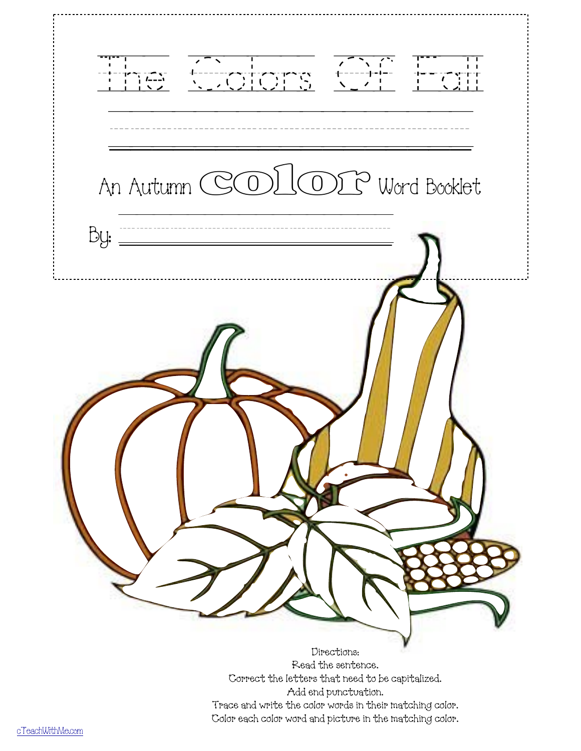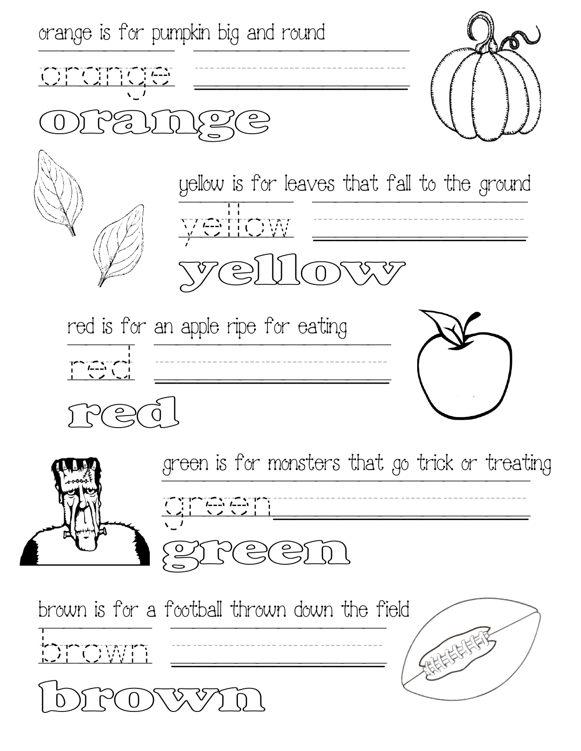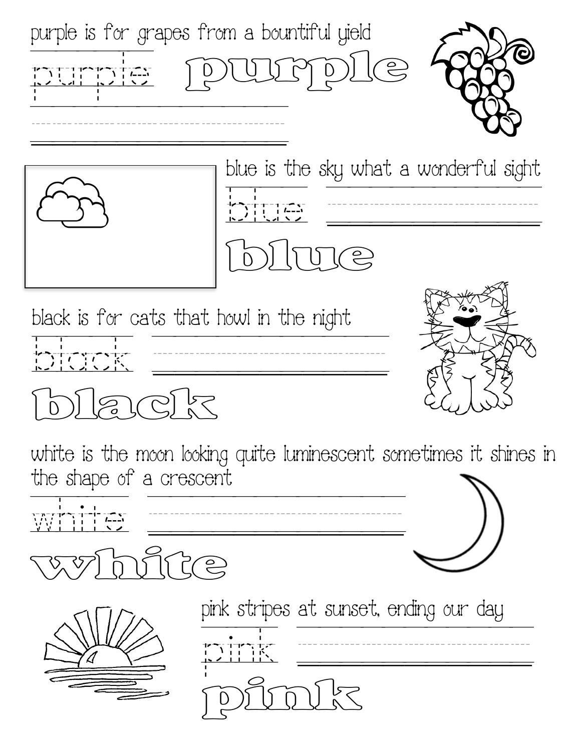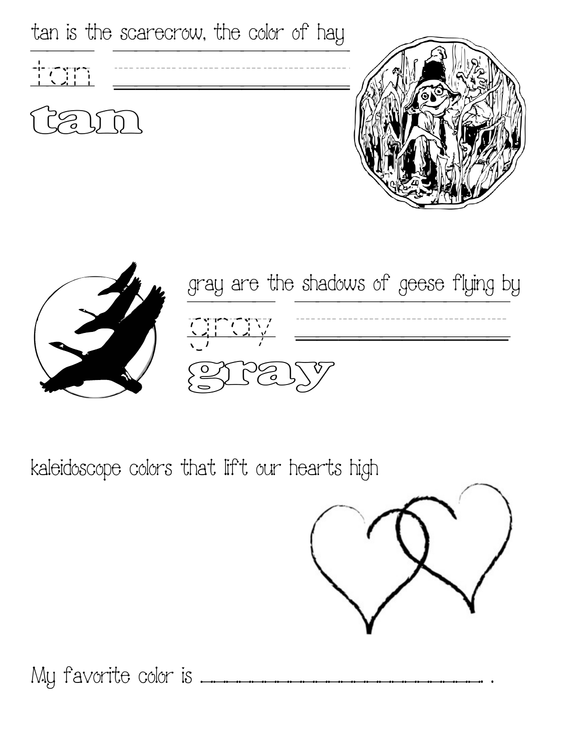





kaleidoscope colors that lift our hearts high



My favorite color is \_\_\_\_\_\_\_\_\_\_\_\_\_\_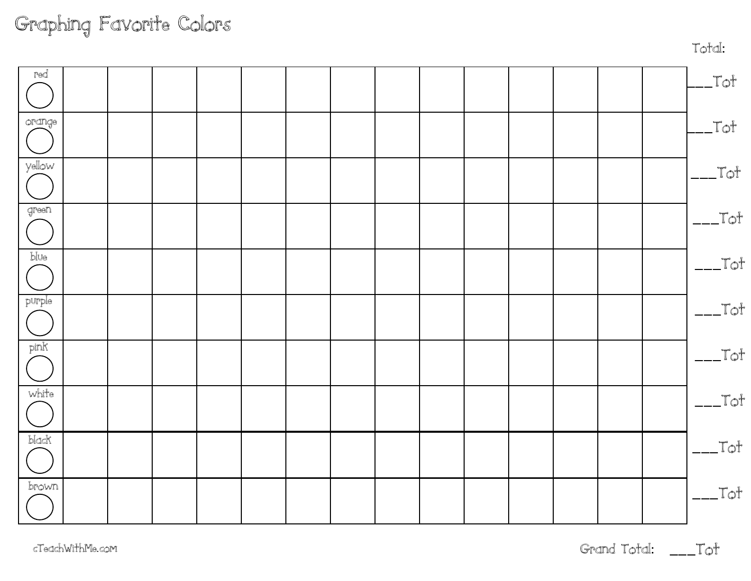| red      |  |  |  |  |  |  |  | Tot      |
|----------|--|--|--|--|--|--|--|----------|
| orange   |  |  |  |  |  |  |  | T        |
| yellow   |  |  |  |  |  |  |  | $-LT$ ot |
| $q$ reen |  |  |  |  |  |  |  | T        |
| blue     |  |  |  |  |  |  |  | I        |
| purple   |  |  |  |  |  |  |  | $---Tot$ |
| pink     |  |  |  |  |  |  |  | $---Tot$ |
| white    |  |  |  |  |  |  |  | $---Tot$ |
| black    |  |  |  |  |  |  |  | __Tot    |
| brown    |  |  |  |  |  |  |  | $---Tot$ |

cTeachWithMe.com

Total: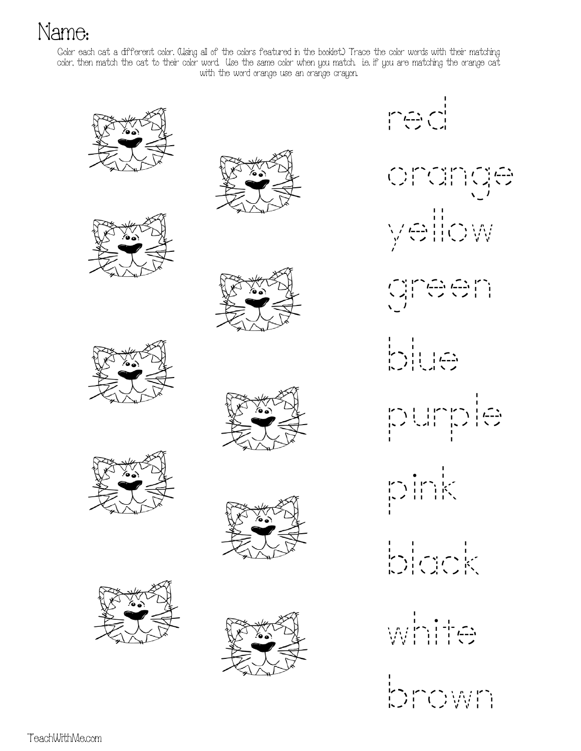## Name:

Color each cat a different color. (Using all of the colors featured in the booklet.) Trace the color words with their matching color, then match the cat to their color word. Use the same color when you match. i.e. if you are matching the orange cat with the word orange use an orange crayon.





















 $\begin{bmatrix} 1 & 1 & 1 \\ 1 & 1 & 1 \\ 1 & 1 & 1 \end{bmatrix}$ orange yellow  $\begin{bmatrix} \gamma & \gamma & \gamma \\ \gamma & \gamma & \gamma \end{bmatrix}$  $\begin{array}{c} 1 & 1 \\ 1 & 1 \\ 1 & 1 \\ 1 & 1 \\ 1 & 1 \\ 1 & 1 \\ 1 & 1 \\ 1 & 1 \\ 1 & 1 \\ 1 & 1 \\ 1 & 1 \\ 1 & 1 \\ 1 & 1 \\ 1 & 1 \\ 1 & 1 \\ 1 & 1 \\ 1 & 1 \\ 1 & 1 \\ 1 & 1 \\ 1 & 1 \\ 1 & 1 \\ 1 & 1 \\ 1 & 1 \\ 1 & 1 \\ 1 & 1 \\ 1 & 1 \\ 1 & 1 \\ 1 & 1 \\ 1 & 1 \\ 1 & 1 \\ 1 & 1 \\ 1 & 1 \\ 1 & 1 \\ 1 & 1 \\ 1 & 1 \\ 1 &$ 







white **brown**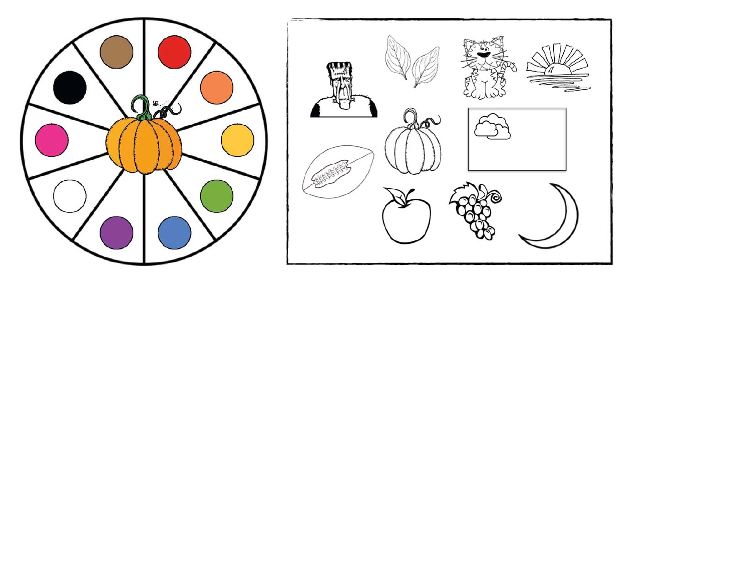

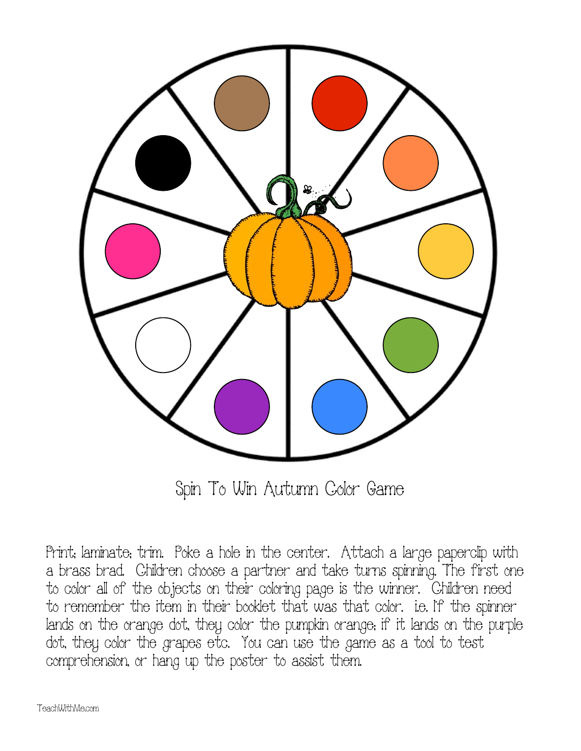

Spin To Win Autumn Color Game

Print; laminate; trim. Poke a hole in the center. Attach a large paperclip with a brass brad. Children choose a partner and take turns spinning. The first one to color all of the objects on their coloring page is the winner. Children need to remember the item in their booklet that was that color. i.e. If the spinner lands on the orange dot, they color the pumpkin orange; if it lands on the purple dot, they color the grapes etc. You can use the game as a tool to test comprehension, or hang up the poster to assist them.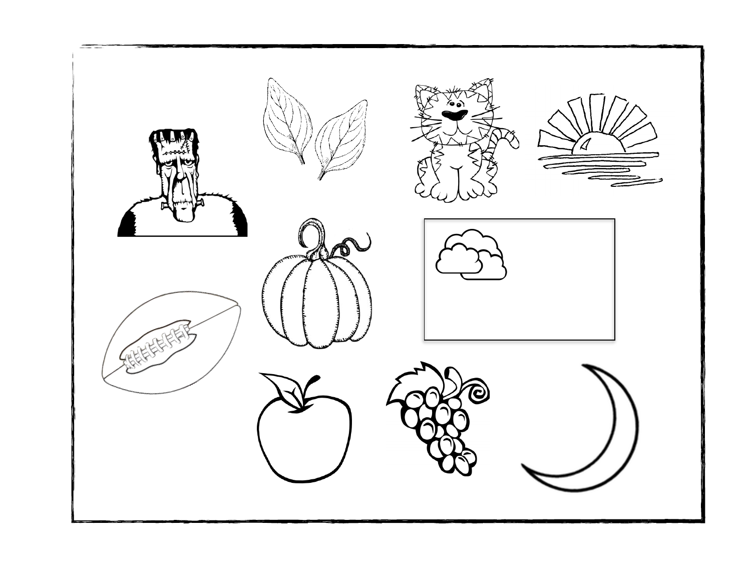